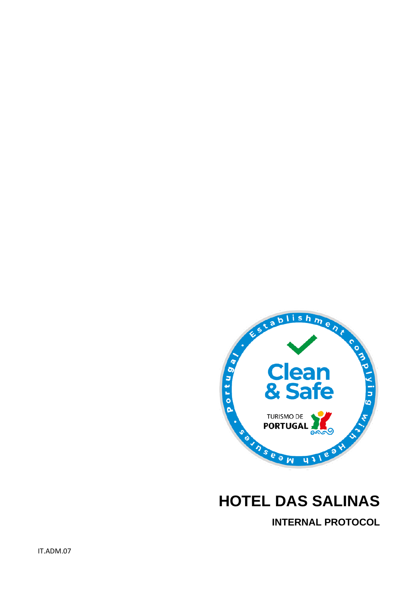

# **HOTEL DAS SALINAS**

**INTERNAL PROTOCOL**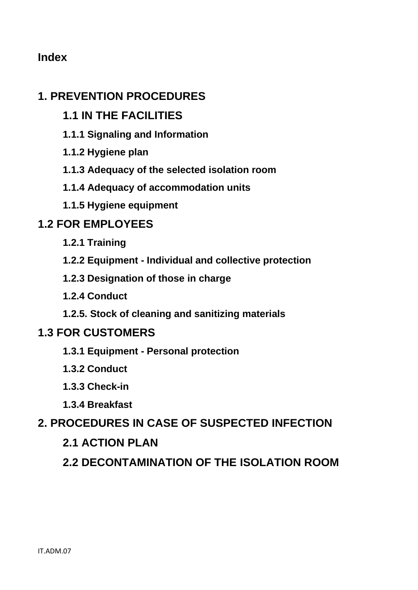# **Index**

# **1. PREVENTION PROCEDURES**

- **1.1 IN THE FACILITIES**
- **1.1.1 Signaling and Information**
- **1.1.2 Hygiene plan**
- **1.1.3 Adequacy of the selected isolation room**
- **1.1.4 Adequacy of accommodation units**
- **1.1.5 Hygiene equipment**

# **1.2 FOR EMPLOYEES**

- **1.2.1 Training**
- **1.2.2 Equipment - Individual and collective protection**
- **1.2.3 Designation of those in charge**
- **1.2.4 Conduct**
- **1.2.5. Stock of cleaning and sanitizing materials**

# **1.3 FOR CUSTOMERS**

- **1.3.1 Equipment - Personal protection**
- **1.3.2 Conduct**
- **1.3.3 Check-in**
- **1.3.4 Breakfast**
- **2. PROCEDURES IN CASE OF SUSPECTED INFECTION**

# **2.1 ACTION PLAN**

**2.2 DECONTAMINATION OF THE ISOLATION ROOM**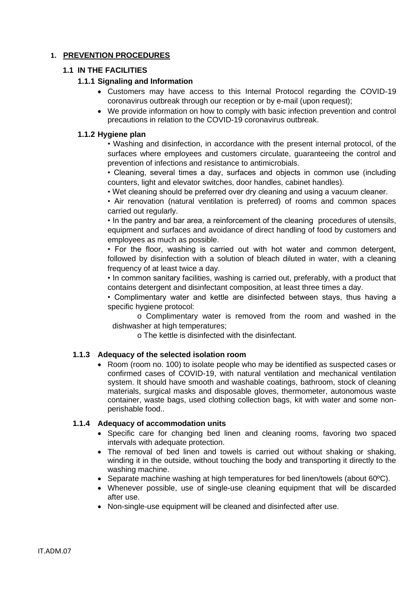# **1. PREVENTION PROCEDURES**

#### **1.1 IN THE FACILITIES**

### **1.1.1 Signaling and Information**

- Customers may have access to this Internal Protocol regarding the COVID-19 coronavirus outbreak through our reception or by e-mail (upon request);
- We provide information on how to comply with basic infection prevention and control precautions in relation to the COVID-19 coronavirus outbreak.

### **1.1.2 Hygiene plan**

• Washing and disinfection, in accordance with the present internal protocol, of the surfaces where employees and customers circulate, guaranteeing the control and prevention of infections and resistance to antimicrobials.

• Cleaning, several times a day, surfaces and objects in common use (including counters, light and elevator switches, door handles, cabinet handles).

• Wet cleaning should be preferred over dry cleaning and using a vacuum cleaner.

• Air renovation (natural ventilation is preferred) of rooms and common spaces carried out regularly.

• In the pantry and bar area, a reinforcement of the cleaning procedures of utensils, equipment and surfaces and avoidance of direct handling of food by customers and employees as much as possible.

• For the floor, washing is carried out with hot water and common detergent, followed by disinfection with a solution of bleach diluted in water, with a cleaning frequency of at least twice a day.

• In common sanitary facilities, washing is carried out, preferably, with a product that contains detergent and disinfectant composition, at least three times a day.

• Complimentary water and kettle are disinfected between stays, thus having a specific hygiene protocol:

o Complimentary water is removed from the room and washed in the dishwasher at high temperatures;

o The kettle is disinfected with the disinfectant.

#### **1.1.3 Adequacy of the selected isolation room**

• Room (room no. 100) to isolate people who may be identified as suspected cases or confirmed cases of COVID-19, with natural ventilation and mechanical ventilation system. It should have smooth and washable coatings, bathroom, stock of cleaning materials, surgical masks and disposable gloves, thermometer, autonomous waste container, waste bags, used clothing collection bags, kit with water and some nonperishable food..

#### **1.1.4 Adequacy of accommodation units**

- Specific care for changing bed linen and cleaning rooms, favoring two spaced intervals with adequate protection.
- The removal of bed linen and towels is carried out without shaking or shaking, winding it in the outside, without touching the body and transporting it directly to the washing machine.
- Separate machine washing at high temperatures for bed linen/towels (about 60ºC).
- Whenever possible, use of single-use cleaning equipment that will be discarded after use.
- Non-single-use equipment will be cleaned and disinfected after use.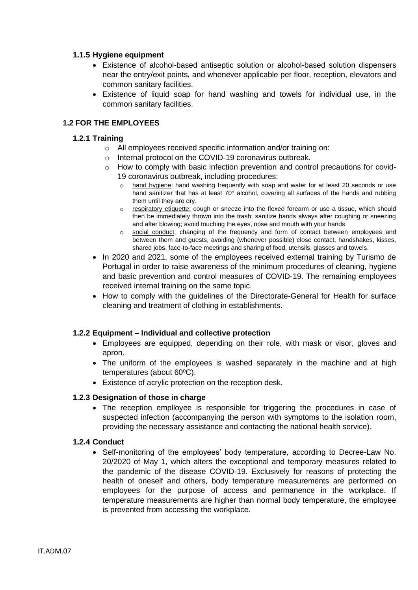#### **1.1.5 Hygiene equipment**

- Existence of alcohol-based antiseptic solution or alcohol-based solution dispensers near the entry/exit points, and whenever applicable per floor, reception, elevators and common sanitary facilities.
- Existence of liquid soap for hand washing and towels for individual use, in the common sanitary facilities.

## **1.2 FOR THE EMPLOYEES**

#### **1.2.1 Training**

- o All employees received specific information and/or training on:
- o Internal protocol on the COVID-19 coronavirus outbreak.
- o How to comply with basic infection prevention and control precautions for covid-19 coronavirus outbreak, including procedures:
	- o hand hygiene: hand washing frequently with soap and water for at least 20 seconds or use hand sanitizer that has at least 70° alcohol, covering all surfaces of the hands and rubbing them until they are dry.
	- o respiratory etiquette: cough or sneeze into the flexed forearm or use a tissue, which should then be immediately thrown into the trash; sanitize hands always after coughing or sneezing and after blowing; avoid touching the eyes, nose and mouth with your hands.
	- o social conduct: changing of the frequency and form of contact between employees and between them and guests, avoiding (whenever possible) close contact, handshakes, kisses, shared jobs, face-to-face meetings and sharing of food, utensils, glasses and towels.
- In 2020 and 2021, some of the employees received external training by Turismo de Portugal in order to raise awareness of the minimum procedures of cleaning, hygiene and basic prevention and control measures of COVID-19. The remaining employees received internal training on the same topic.
- How to comply with the guidelines of the Directorate-General for Health for surface cleaning and treatment of clothing in establishments.

#### **1.2.2 Equipment – Individual and collective protection**

- Employees are equipped, depending on their role, with mask or visor, gloves and apron.
- The uniform of the employees is washed separately in the machine and at high temperatures (about 60ºC).
- Existence of acrylic protection on the reception desk.

#### **1.2.3 Designation of those in charge**

• The reception emplloyee is responsible for triggering the procedures in case of suspected infection (accompanying the person with symptoms to the isolation room, providing the necessary assistance and contacting the national health service).

#### **1.2.4 Conduct**

• Self-monitoring of the employees' body temperature, according to Decree-Law No. 20/2020 of May 1, which alters the exceptional and temporary measures related to the pandemic of the disease COVID-19. Exclusively for reasons of protecting the health of oneself and others, body temperature measurements are performed on employees for the purpose of access and permanence in the workplace. If temperature measurements are higher than normal body temperature, the employee is prevented from accessing the workplace.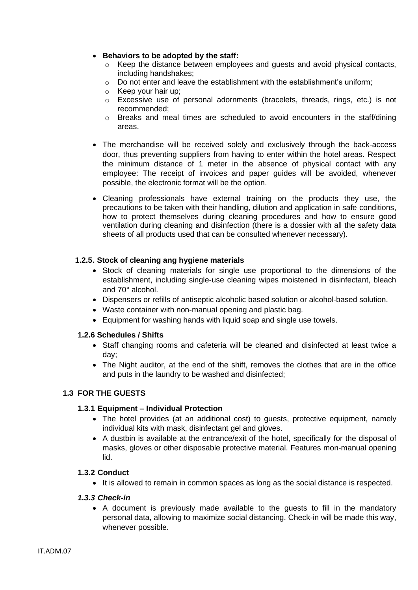#### • **Behaviors to be adopted by the staff:**

- $\circ$  Keep the distance between employees and quests and avoid physical contacts, including handshakes;
- $\circ$  Do not enter and leave the establishment with the establishment's uniform:
- o Keep your hair up;
- o Excessive use of personal adornments (bracelets, threads, rings, etc.) is not recommended;
- $\circ$  Breaks and meal times are scheduled to avoid encounters in the staff/dining areas.
- The merchandise will be received solely and exclusively through the back-access door, thus preventing suppliers from having to enter within the hotel areas. Respect the minimum distance of 1 meter in the absence of physical contact with any employee: The receipt of invoices and paper guides will be avoided, whenever possible, the electronic format will be the option.
- Cleaning professionals have external training on the products they use, the precautions to be taken with their handling, dilution and application in safe conditions, how to protect themselves during cleaning procedures and how to ensure good ventilation during cleaning and disinfection (there is a dossier with all the safety data sheets of all products used that can be consulted whenever necessary).

## **1.2.5. Stock of cleaning ang hygiene materials**

- Stock of cleaning materials for single use proportional to the dimensions of the establishment, including single-use cleaning wipes moistened in disinfectant, bleach and 70° alcohol.
- Dispensers or refills of antiseptic alcoholic based solution or alcohol-based solution.
- Waste container with non-manual opening and plastic bag.
- Equipment for washing hands with liquid soap and single use towels.

#### **1.2.6 Schedules / Shifts**

- Staff changing rooms and cafeteria will be cleaned and disinfected at least twice a day;
- The Night auditor, at the end of the shift, removes the clothes that are in the office and puts in the laundry to be washed and disinfected;

# **1.3 FOR THE GUESTS**

#### **1.3.1 Equipment – Individual Protection**

- The hotel provides (at an additional cost) to guests, protective equipment, namely individual kits with mask, disinfectant gel and gloves.
- A dustbin is available at the entrance/exit of the hotel, specifically for the disposal of masks, gloves or other disposable protective material. Features mon-manual opening lid.

#### **1.3.2 Conduct**

• It is allowed to remain in common spaces as long as the social distance is respected.

#### *1.3.3 Check-in*

• A document is previously made available to the guests to fill in the mandatory personal data, allowing to maximize social distancing. Check-in will be made this way, whenever possible.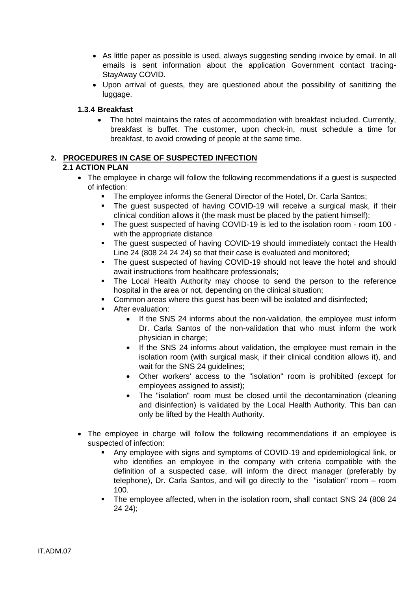- As little paper as possible is used, always suggesting sending invoice by email. In all emails is sent information about the application Government contact tracing-StayAway COVID.
- Upon arrival of guests, they are questioned about the possibility of sanitizing the luggage.

## **1.3.4 Breakfast**

• The hotel maintains the rates of accommodation with breakfast included. Currently, breakfast is buffet. The customer, upon check-in, must schedule a time for breakfast, to avoid crowding of people at the same time.

# **2. PROCEDURES IN CASE OF SUSPECTED INFECTION**

## **2.1 ACTION PLAN**

- The employee in charge will follow the following recommendations if a quest is suspected of infection:
	- The employee informs the General Director of the Hotel, Dr. Carla Santos:
	- The guest suspected of having COVID-19 will receive a surgical mask, if their clinical condition allows it (the mask must be placed by the patient himself);
	- The guest suspected of having COVID-19 is led to the isolation room room 100 with the appropriate distance
	- The quest suspected of having COVID-19 should immediately contact the Health Line 24 (808 24 24 24) so that their case is evaluated and monitored;
	- The guest suspected of having COVID-19 should not leave the hotel and should await instructions from healthcare professionals;
	- The Local Health Authority may choose to send the person to the reference hospital in the area or not, depending on the clinical situation;
	- Common areas where this guest has been will be isolated and disinfected;
	- **EXECUTE:** After evaluation:
		- If the SNS 24 informs about the non-validation, the employee must inform Dr. Carla Santos of the non-validation that who must inform the work physician in charge;
		- If the SNS 24 informs about validation, the employee must remain in the isolation room (with surgical mask, if their clinical condition allows it), and wait for the SNS 24 quidelines:
		- Other workers' access to the "isolation" room is prohibited (except for employees assigned to assist);
		- The "isolation" room must be closed until the decontamination (cleaning and disinfection) is validated by the Local Health Authority. This ban can only be lifted by the Health Authority.
- The employee in charge will follow the following recommendations if an employee is suspected of infection:
	- Any employee with signs and symptoms of COVID-19 and epidemiological link, or who identifies an employee in the company with criteria compatible with the definition of a suspected case, will inform the direct manager (preferably by telephone), Dr. Carla Santos, and will go directly to the "isolation" room – room 100.
	- The employee affected, when in the isolation room, shall contact SNS 24 (808 24 24 24);